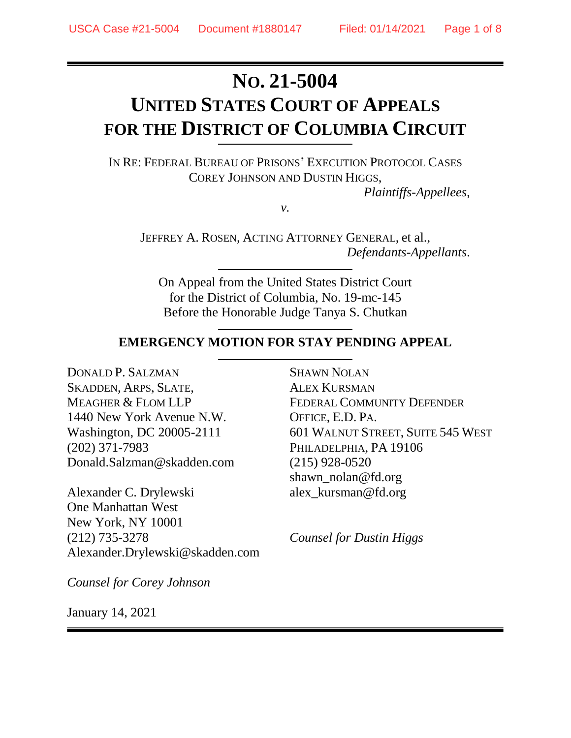# **NO. 21-5004**

## **UNITED STATES COURT OF APPEALS FOR THE DISTRICT OF COLUMBIA CIRCUIT**

IN RE: FEDERAL BUREAU OF PRISONS' EXECUTION PROTOCOL CASES COREY JOHNSON AND DUSTIN HIGGS,

*Plaintiffs-Appellees*,

*v.*

JEFFREY A. ROSEN, ACTING ATTORNEY GENERAL, et al., *Defendants-Appellants*.

On Appeal from the United States District Court for the District of Columbia, No. 19-mc-145 Before the Honorable Judge Tanya S. Chutkan

## **EMERGENCY MOTION FOR STAY PENDING APPEAL**

DONALD P. SALZMAN SKADDEN, ARPS, SLATE, MEAGHER & FLOM LLP 1440 New York Avenue N.W. Washington, DC 20005-2111 (202) 371-7983 Donald.Salzman@skadden.com

Alexander C. Drylewski One Manhattan West New York, NY 10001 (212) 735-3278 Alexander.Drylewski@skadden.com

*Counsel for Corey Johnson*

January 14, 2021

SHAWN NOLAN ALEX KURSMAN FEDERAL COMMUNITY DEFENDER OFFICE, E.D. PA. 601 WALNUT STREET, SUITE 545 WEST PHILADELPHIA, PA 19106 (215) 928-0520 shawn\_nolan@fd.org alex\_kursman@fd.org

*Counsel for Dustin Higgs*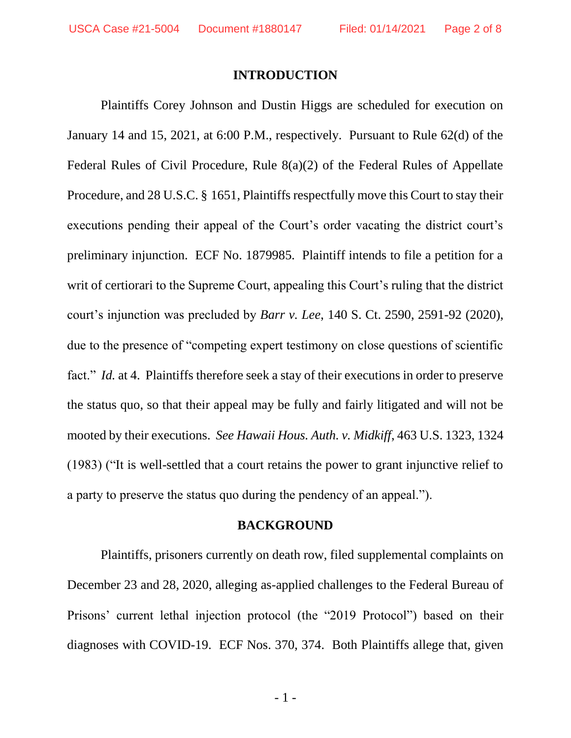#### **INTRODUCTION**

Plaintiffs Corey Johnson and Dustin Higgs are scheduled for execution on January 14 and 15, 2021, at 6:00 P.M., respectively. Pursuant to Rule 62(d) of the Federal Rules of Civil Procedure, Rule 8(a)(2) of the Federal Rules of Appellate Procedure, and 28 U.S.C. § 1651, Plaintiffs respectfully move this Court to stay their executions pending their appeal of the Court's order vacating the district court's preliminary injunction. ECF No. 1879985. Plaintiff intends to file a petition for a writ of certiorari to the Supreme Court, appealing this Court's ruling that the district court's injunction was precluded by *Barr v. Lee*, 140 S. Ct. 2590, 2591-92 (2020), due to the presence of "competing expert testimony on close questions of scientific fact." *Id.* at 4. Plaintiffs therefore seek a stay of their executions in order to preserve the status quo, so that their appeal may be fully and fairly litigated and will not be mooted by their executions. *See Hawaii Hous. Auth. v. Midkiff*, 463 U.S. 1323, 1324 (1983) ("It is well-settled that a court retains the power to grant injunctive relief to a party to preserve the status quo during the pendency of an appeal.").

#### **BACKGROUND**

Plaintiffs, prisoners currently on death row, filed supplemental complaints on December 23 and 28, 2020, alleging as-applied challenges to the Federal Bureau of Prisons' current lethal injection protocol (the "2019 Protocol") based on their diagnoses with COVID-19. ECF Nos. 370, 374. Both Plaintiffs allege that, given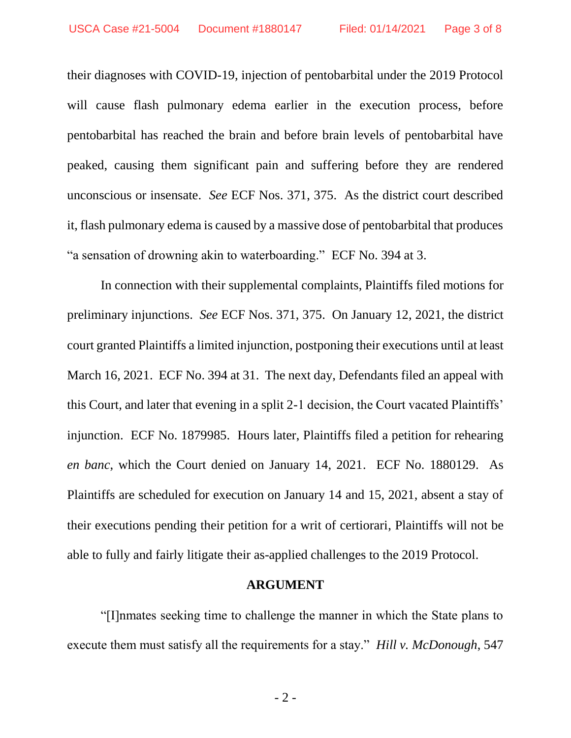their diagnoses with COVID-19, injection of pentobarbital under the 2019 Protocol will cause flash pulmonary edema earlier in the execution process, before pentobarbital has reached the brain and before brain levels of pentobarbital have peaked, causing them significant pain and suffering before they are rendered unconscious or insensate. *See* ECF Nos. 371, 375. As the district court described it, flash pulmonary edema is caused by a massive dose of pentobarbital that produces "a sensation of drowning akin to waterboarding." ECF No. 394 at 3.

In connection with their supplemental complaints, Plaintiffs filed motions for preliminary injunctions. *See* ECF Nos. 371, 375. On January 12, 2021, the district court granted Plaintiffs a limited injunction, postponing their executions until at least March 16, 2021. ECF No. 394 at 31. The next day, Defendants filed an appeal with this Court, and later that evening in a split 2-1 decision, the Court vacated Plaintiffs' injunction. ECF No. 1879985. Hours later, Plaintiffs filed a petition for rehearing *en banc*, which the Court denied on January 14, 2021. ECF No. 1880129. As Plaintiffs are scheduled for execution on January 14 and 15, 2021, absent a stay of their executions pending their petition for a writ of certiorari, Plaintiffs will not be able to fully and fairly litigate their as-applied challenges to the 2019 Protocol.

#### **ARGUMENT**

"[I]nmates seeking time to challenge the manner in which the State plans to execute them must satisfy all the requirements for a stay." *Hill v. McDonough*, 547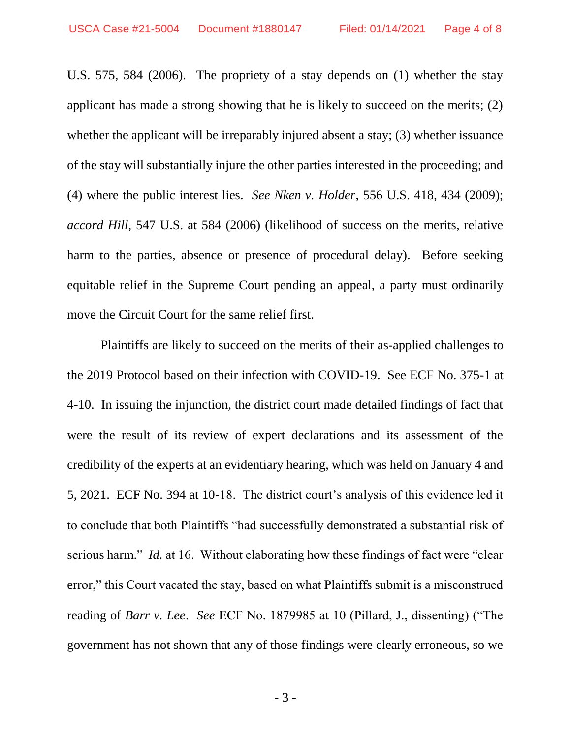U.S. 575, 584 (2006). The propriety of a stay depends on (1) whether the stay applicant has made a strong showing that he is likely to succeed on the merits; (2) whether the applicant will be irreparably injured absent a stay; (3) whether issuance of the stay will substantially injure the other parties interested in the proceeding; and (4) where the public interest lies. *See Nken v. Holder*, 556 U.S. 418, 434 (2009); *accord Hill*, 547 U.S. at 584 (2006) (likelihood of success on the merits, relative harm to the parties, absence or presence of procedural delay). Before seeking equitable relief in the Supreme Court pending an appeal, a party must ordinarily move the Circuit Court for the same relief first.

Plaintiffs are likely to succeed on the merits of their as-applied challenges to the 2019 Protocol based on their infection with COVID-19. See ECF No. 375-1 at 4-10. In issuing the injunction, the district court made detailed findings of fact that were the result of its review of expert declarations and its assessment of the credibility of the experts at an evidentiary hearing, which was held on January 4 and 5, 2021. ECF No. 394 at 10-18. The district court's analysis of this evidence led it to conclude that both Plaintiffs "had successfully demonstrated a substantial risk of serious harm." *Id.* at 16. Without elaborating how these findings of fact were "clear error," this Court vacated the stay, based on what Plaintiffs submit is a misconstrued reading of *Barr v. Lee*. *See* ECF No. 1879985 at 10 (Pillard, J., dissenting) ("The government has not shown that any of those findings were clearly erroneous, so we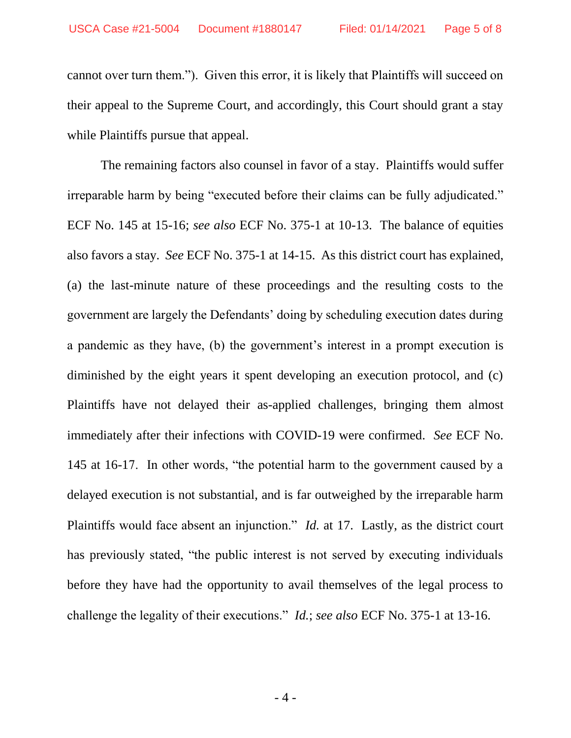cannot over turn them."). Given this error, it is likely that Plaintiffs will succeed on their appeal to the Supreme Court, and accordingly, this Court should grant a stay while Plaintiffs pursue that appeal.

The remaining factors also counsel in favor of a stay. Plaintiffs would suffer irreparable harm by being "executed before their claims can be fully adjudicated." ECF No. 145 at 15-16; *see also* ECF No. 375-1 at 10-13. The balance of equities also favors a stay. *See* ECF No. 375-1 at 14-15. As this district court has explained, (a) the last-minute nature of these proceedings and the resulting costs to the government are largely the Defendants' doing by scheduling execution dates during a pandemic as they have, (b) the government's interest in a prompt execution is diminished by the eight years it spent developing an execution protocol, and (c) Plaintiffs have not delayed their as-applied challenges, bringing them almost immediately after their infections with COVID-19 were confirmed. *See* ECF No. 145 at 16-17. In other words, "the potential harm to the government caused by a delayed execution is not substantial, and is far outweighed by the irreparable harm Plaintiffs would face absent an injunction." *Id.* at 17. Lastly, as the district court has previously stated, "the public interest is not served by executing individuals before they have had the opportunity to avail themselves of the legal process to challenge the legality of their executions." *Id.*; *see also* ECF No. 375-1 at 13-16.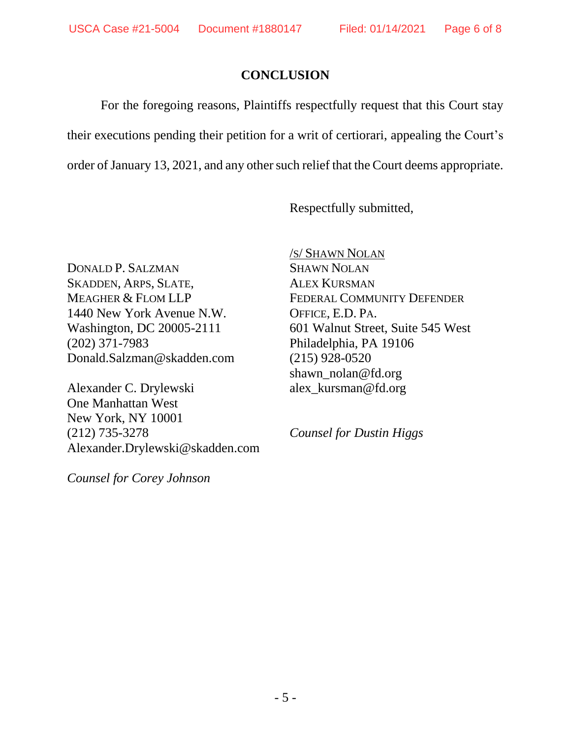## **CONCLUSION**

For the foregoing reasons, Plaintiffs respectfully request that this Court stay their executions pending their petition for a writ of certiorari, appealing the Court's order of January 13, 2021, and any other such relief that the Court deems appropriate.

Respectfully submitted,

DONALD P. SALZMAN SKADDEN, ARPS, SLATE, MEAGHER & FLOM LLP 1440 New York Avenue N.W. Washington, DC 20005-2111 (202) 371-7983 Donald.Salzman@skadden.com

Alexander C. Drylewski One Manhattan West New York, NY 10001 (212) 735-3278 Alexander.Drylewski@skadden.com

*Counsel for Corey Johnson*

/S/ SHAWN NOLAN SHAWN NOLAN ALEX KURSMAN FEDERAL COMMUNITY DEFENDER OFFICE, E.D. PA. 601 Walnut Street, Suite 545 West Philadelphia, PA 19106 (215) 928-0520 shawn\_nolan@fd.org alex\_kursman@fd.org

*Counsel for Dustin Higgs*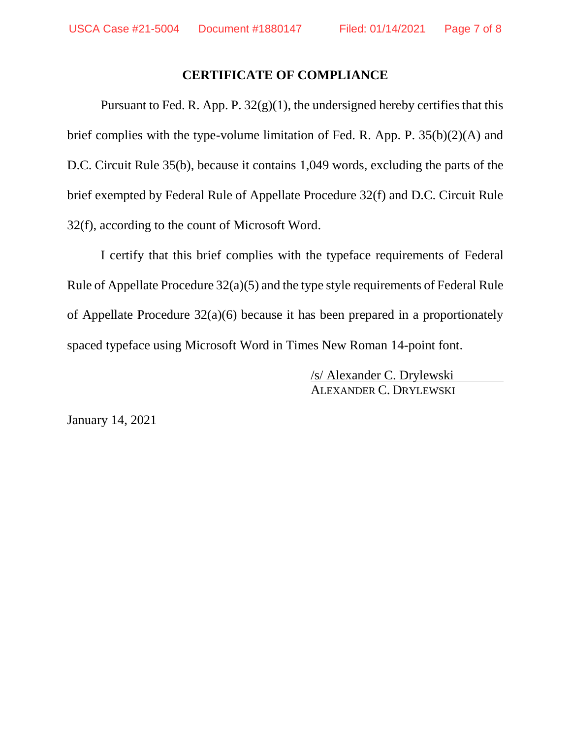#### **CERTIFICATE OF COMPLIANCE**

Pursuant to Fed. R. App. P.  $32(g)(1)$ , the undersigned hereby certifies that this brief complies with the type-volume limitation of Fed. R. App. P. 35(b)(2)(A) and D.C. Circuit Rule 35(b), because it contains 1,049 words, excluding the parts of the brief exempted by Federal Rule of Appellate Procedure 32(f) and D.C. Circuit Rule 32(f), according to the count of Microsoft Word.

I certify that this brief complies with the typeface requirements of Federal Rule of Appellate Procedure 32(a)(5) and the type style requirements of Federal Rule of Appellate Procedure 32(a)(6) because it has been prepared in a proportionately spaced typeface using Microsoft Word in Times New Roman 14-point font.

> /s/ Alexander C. Drylewski ALEXANDER C. DRYLEWSKI

January 14, 2021